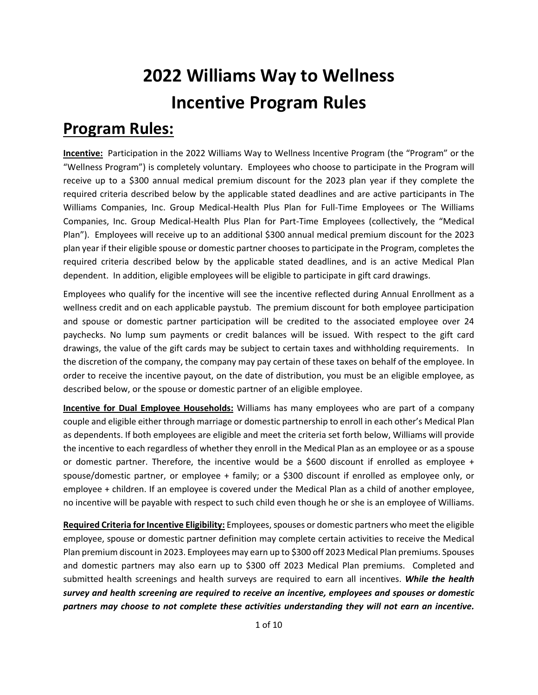## **2022 Williams Way to Wellness Incentive Program Rules**

## **Program Rules:**

**Incentive:** Participation in the 2022 Williams Way to Wellness Incentive Program (the "Program" or the "Wellness Program") is completely voluntary. Employees who choose to participate in the Program will receive up to a \$300 annual medical premium discount for the 2023 plan year if they complete the required criteria described below by the applicable stated deadlines and are active participants in The Williams Companies, Inc. Group Medical-Health Plus Plan for Full-Time Employees or The Williams Companies, Inc. Group Medical-Health Plus Plan for Part-Time Employees (collectively, the "Medical Plan"). Employees will receive up to an additional \$300 annual medical premium discount for the 2023 plan year if their eligible spouse or domestic partner chooses to participate in the Program, completes the required criteria described below by the applicable stated deadlines, and is an active Medical Plan dependent. In addition, eligible employees will be eligible to participate in gift card drawings.

Employees who qualify for the incentive will see the incentive reflected during Annual Enrollment as a wellness credit and on each applicable paystub. The premium discount for both employee participation and spouse or domestic partner participation will be credited to the associated employee over 24 paychecks. No lump sum payments or credit balances will be issued. With respect to the gift card drawings, the value of the gift cards may be subject to certain taxes and withholding requirements. In the discretion of the company, the company may pay certain of these taxes on behalf of the employee. In order to receive the incentive payout, on the date of distribution, you must be an eligible employee, as described below, or the spouse or domestic partner of an eligible employee.

**Incentive for Dual Employee Households:** Williams has many employees who are part of a company couple and eligible either through marriage or domestic partnership to enroll in each other's Medical Plan as dependents. If both employees are eligible and meet the criteria set forth below, Williams will provide the incentive to each regardless of whether they enroll in the Medical Plan as an employee or as a spouse or domestic partner. Therefore, the incentive would be a \$600 discount if enrolled as employee + spouse/domestic partner, or employee + family; or a \$300 discount if enrolled as employee only, or employee + children. If an employee is covered under the Medical Plan as a child of another employee, no incentive will be payable with respect to such child even though he or she is an employee of Williams.

**Required Criteria for Incentive Eligibility:** Employees, spouses or domestic partners who meet the eligible employee, spouse or domestic partner definition may complete certain activities to receive the Medical Plan premium discount in 2023. Employees may earn up to \$300 off 2023 Medical Plan premiums. Spouses and domestic partners may also earn up to \$300 off 2023 Medical Plan premiums. Completed and submitted health screenings and health surveys are required to earn all incentives. *While the health survey and health screening are required to receive an incentive, employees and spouses or domestic partners may choose to not complete these activities understanding they will not earn an incentive.*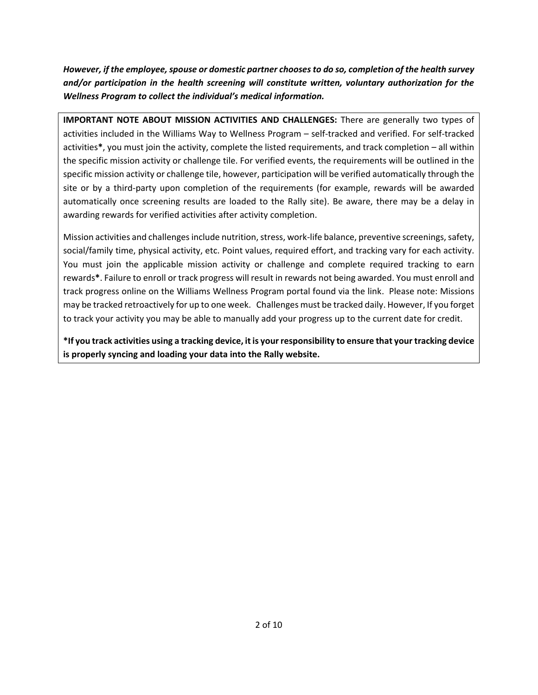*However, if the employee, spouse or domestic partner choosesto do so, completion of the health survey and/or participation in the health screening will constitute written, voluntary authorization for the Wellness Program to collect the individual's medical information.*

**IMPORTANT NOTE ABOUT MISSION ACTIVITIES AND CHALLENGES:** There are generally two types of activities included in the Williams Way to Wellness Program – self-tracked and verified. For self-tracked activities**\***, you must join the activity, complete the listed requirements, and track completion – all within the specific mission activity or challenge tile. For verified events, the requirements will be outlined in the specific mission activity or challenge tile, however, participation will be verified automatically through the site or by a third-party upon completion of the requirements (for example, rewards will be awarded automatically once screening results are loaded to the Rally site). Be aware, there may be a delay in awarding rewards for verified activities after activity completion.

Mission activities and challenges include nutrition, stress, work-life balance, preventive screenings, safety, social/family time, physical activity, etc. Point values, required effort, and tracking vary for each activity. You must join the applicable mission activity or challenge and complete required tracking to earn rewards**\***. Failure to enroll or track progress will result in rewards not being awarded. You must enroll and track progress online on the Williams Wellness Program portal found via the link. Please note: Missions may be tracked retroactively for up to one week. Challenges must be tracked daily. However, If you forget to track your activity you may be able to manually add your progress up to the current date for credit.

**\*If you track activities using a tracking device, it is your responsibility to ensure that your tracking device is properly syncing and loading your data into the Rally website.**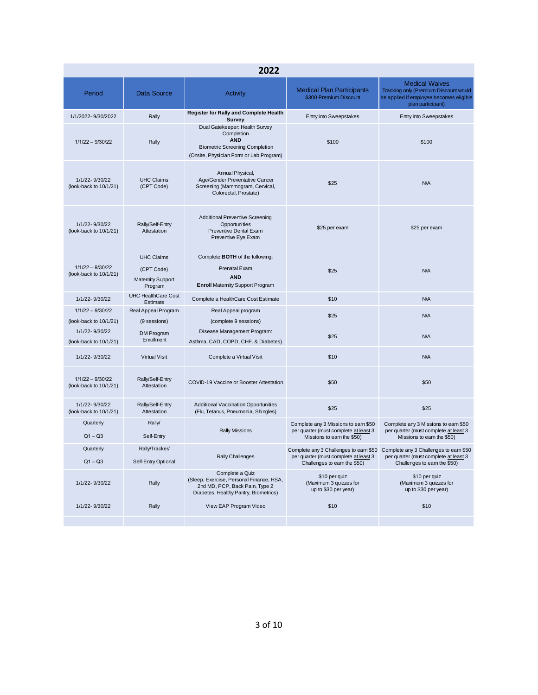| 2022                                            |                                                                        |                                                                                                                                                |                                                                                                             |                                                                                                                                                        |  |  |
|-------------------------------------------------|------------------------------------------------------------------------|------------------------------------------------------------------------------------------------------------------------------------------------|-------------------------------------------------------------------------------------------------------------|--------------------------------------------------------------------------------------------------------------------------------------------------------|--|--|
| Period                                          | <b>Data Source</b>                                                     | Activity                                                                                                                                       | <b>Medical Plan Participants</b><br>\$300 Premium Discount                                                  | <b>Medical Waives</b><br>Tracking only (Premium Discount would<br>be applied if employee becomes eligible<br>plan participant)                         |  |  |
| 1/1/2022-9/30/2022                              | Rally                                                                  | <b>Register for Rally and Complete Health</b><br>Survey                                                                                        | Entry into Sweepstakes                                                                                      | <b>Entry into Sweepstakes</b>                                                                                                                          |  |  |
| $1/1/22 - 9/30/22$                              | Rally                                                                  | Dual Gatekeeper: Health Survey<br>Completion<br><b>AND</b><br><b>Biometric Screening Completion</b><br>(Onsite, Physician Form or Lab Program) | \$100                                                                                                       | \$100                                                                                                                                                  |  |  |
| 1/1/22-9/30/22<br>(look-back to 10/1/21)        | <b>UHC Claims</b><br>(CPT Code)                                        | Annual Physical,<br>Age/Gender Preventative Cancer<br>Screening (Mammogram, Cervical,<br>Colorectal, Prostate)                                 | \$25                                                                                                        | N/A                                                                                                                                                    |  |  |
| 1/1/22-9/30/22<br>(look-back to $10/1/21$ )     | Rally/Self-Entry<br>Attestation                                        | <b>Additional Preventive Screening</b><br>Opportunities<br><b>Preventive Dental Exam</b><br>Preventive Eye Exam                                | \$25 per exam                                                                                               | \$25 per exam                                                                                                                                          |  |  |
| $1/1/22 - 9/30/22$<br>(look-back to $10/1/21$ ) | <b>UHC Claims</b><br>(CPT Code)<br><b>Maternity Support</b><br>Program | Complete BOTH of the following:<br>Prenatal Exam<br><b>AND</b><br><b>Enroll Maternity Support Program</b>                                      | \$25                                                                                                        | N/A                                                                                                                                                    |  |  |
| 1/1/22-9/30/22                                  | <b>UHC HealthCare Cost</b><br>Estimate                                 | Complete a HealthCare Cost Estimate                                                                                                            | \$10                                                                                                        | N/A                                                                                                                                                    |  |  |
| $1/1/22 - 9/30/22$                              | Real Appeal Program                                                    | Real Appeal program                                                                                                                            | \$25                                                                                                        | N/A                                                                                                                                                    |  |  |
| (look-back to 10/1/21)<br>1/1/22-9/30/22        | (9 sessions)                                                           | (complete 9 sessions)<br>Disease Management Program:                                                                                           |                                                                                                             |                                                                                                                                                        |  |  |
| (look-back to 10/1/21)                          | DM Program<br>Enrollment                                               | Asthma, CAD, COPD, CHF. & Diabetes)                                                                                                            | \$25                                                                                                        | N/A                                                                                                                                                    |  |  |
| 1/1/22-9/30/22                                  | <b>Virtual Visit</b>                                                   | Complete a Virtual Visit                                                                                                                       | \$10                                                                                                        | N/A                                                                                                                                                    |  |  |
| $1/1/22 - 9/30/22$<br>(look-back to 10/1/21)    | Rally/Self-Entry<br>Attestation                                        | COVID-19 Vaccine or Booster Attestation                                                                                                        | \$50                                                                                                        | \$50                                                                                                                                                   |  |  |
| 1/1/22-9/30/22<br>(look-back to 10/1/21)        | Rally/Self-Entry<br>Attestation                                        | Additional Vaccination Opportunities<br>(Flu, Tetanus, Pneumonia, Shingles)                                                                    | \$25                                                                                                        | \$25                                                                                                                                                   |  |  |
| Quarterly<br>$Q1 - Q3$                          | Rally/<br>Self-Entry                                                   | <b>Rally Missions</b>                                                                                                                          | Complete any 3 Missions to earn \$50<br>per quarter (must complete at least 3<br>Missions to earn the \$50) | Complete any 3 Missions to earn \$50<br>per quarter (must complete at least 3<br>Missions to earn the \$50)                                            |  |  |
| Quarterly<br>$Q1 - Q3$                          | Rally/Tracker/<br>Self-Entry Optional                                  | <b>Rally Challenges</b>                                                                                                                        | per quarter (must complete at least 3<br>Challenges to earn the \$50)                                       | Complete any 3 Challenges to earn \$50 Complete any 3 Challenges to earn \$50<br>per quarter (must complete at least 3<br>Challenges to earn the \$50) |  |  |
| 1/1/22-9/30/22                                  | Rally                                                                  | Complete a Quiz<br>(Sleep, Exercise, Personal Finance, HSA,<br>2nd MD, PCP, Back Pain, Type 2<br>Diabetes, Healthy Pantry, Biometrics)         | \$10 per quiz<br>(Maximum 3 quizzes for<br>up to \$30 per year)                                             | \$10 per quiz<br>(Maximum 3 quizzes for<br>up to \$30 per year)                                                                                        |  |  |
| 1/1/22-9/30/22                                  | Rally                                                                  | View EAP Program Video                                                                                                                         | \$10                                                                                                        | \$10                                                                                                                                                   |  |  |
|                                                 |                                                                        |                                                                                                                                                |                                                                                                             |                                                                                                                                                        |  |  |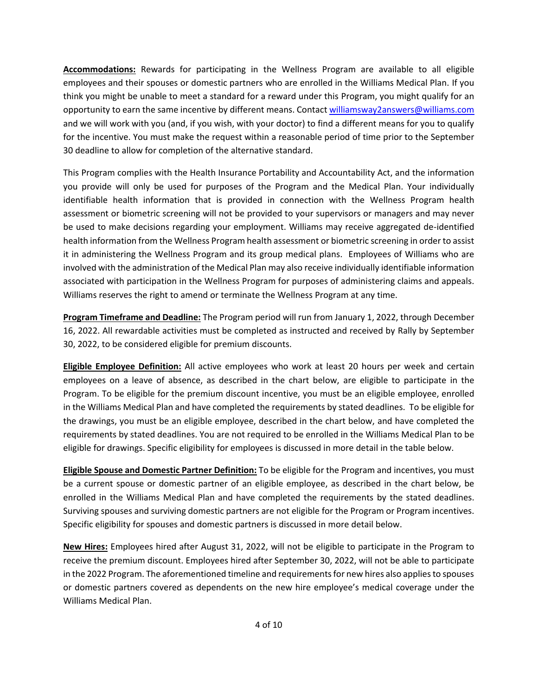**Accommodations:** Rewards for participating in the Wellness Program are available to all eligible employees and their spouses or domestic partners who are enrolled in the Williams Medical Plan. If you think you might be unable to meet a standard for a reward under this Program, you might qualify for an opportunity to earn the same incentive by different means. Contact [williamsway2answers@williams.com](mailto:williamsway2answers@williams.com) and we will work with you (and, if you wish, with your doctor) to find a different means for you to qualify for the incentive. You must make the request within a reasonable period of time prior to the September 30 deadline to allow for completion of the alternative standard.

This Program complies with the Health Insurance Portability and Accountability Act, and the information you provide will only be used for purposes of the Program and the Medical Plan. Your individually identifiable health information that is provided in connection with the Wellness Program health assessment or biometric screening will not be provided to your supervisors or managers and may never be used to make decisions regarding your employment. Williams may receive aggregated de-identified health information from the Wellness Program health assessment or biometric screening in order to assist it in administering the Wellness Program and its group medical plans. Employees of Williams who are involved with the administration of the Medical Plan may also receive individually identifiable information associated with participation in the Wellness Program for purposes of administering claims and appeals. Williams reserves the right to amend or terminate the Wellness Program at any time.

**Program Timeframe and Deadline:** The Program period will run from January 1, 2022, through December 16, 2022. All rewardable activities must be completed as instructed and received by Rally by September 30, 2022, to be considered eligible for premium discounts.

**Eligible Employee Definition:** All active employees who work at least 20 hours per week and certain employees on a leave of absence, as described in the chart below, are eligible to participate in the Program. To be eligible for the premium discount incentive, you must be an eligible employee, enrolled in the Williams Medical Plan and have completed the requirements by stated deadlines. To be eligible for the drawings, you must be an eligible employee, described in the chart below, and have completed the requirements by stated deadlines. You are not required to be enrolled in the Williams Medical Plan to be eligible for drawings. Specific eligibility for employees is discussed in more detail in the table below.

**Eligible Spouse and Domestic Partner Definition:** To be eligible for the Program and incentives, you must be a current spouse or domestic partner of an eligible employee, as described in the chart below, be enrolled in the Williams Medical Plan and have completed the requirements by the stated deadlines. Surviving spouses and surviving domestic partners are not eligible for the Program or Program incentives. Specific eligibility for spouses and domestic partners is discussed in more detail below.

**New Hires:** Employees hired after August 31, 2022, will not be eligible to participate in the Program to receive the premium discount. Employees hired after September 30, 2022, will not be able to participate in the 2022 Program. The aforementioned timeline and requirements for new hires also applies to spouses or domestic partners covered as dependents on the new hire employee's medical coverage under the Williams Medical Plan.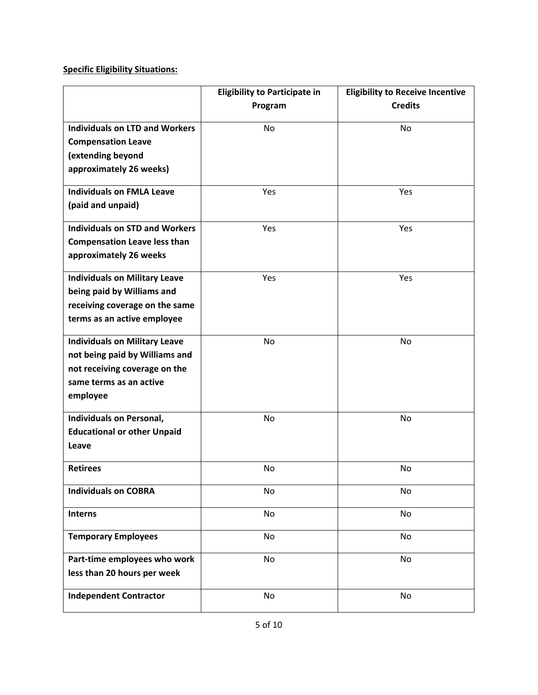## **Specific Eligibility Situations:**

|                                       | <b>Eligibility to Participate in</b> | <b>Eligibility to Receive Incentive</b> |
|---------------------------------------|--------------------------------------|-----------------------------------------|
|                                       | Program                              | <b>Credits</b>                          |
|                                       |                                      |                                         |
| <b>Individuals on LTD and Workers</b> | No                                   | No                                      |
| <b>Compensation Leave</b>             |                                      |                                         |
| (extending beyond                     |                                      |                                         |
| approximately 26 weeks)               |                                      |                                         |
| <b>Individuals on FMLA Leave</b>      | Yes                                  | Yes                                     |
| (paid and unpaid)                     |                                      |                                         |
|                                       |                                      |                                         |
| <b>Individuals on STD and Workers</b> | Yes                                  | Yes                                     |
| <b>Compensation Leave less than</b>   |                                      |                                         |
| approximately 26 weeks                |                                      |                                         |
| <b>Individuals on Military Leave</b>  | Yes                                  | Yes                                     |
| being paid by Williams and            |                                      |                                         |
| receiving coverage on the same        |                                      |                                         |
| terms as an active employee           |                                      |                                         |
|                                       |                                      |                                         |
| <b>Individuals on Military Leave</b>  | <b>No</b>                            | No                                      |
| not being paid by Williams and        |                                      |                                         |
| not receiving coverage on the         |                                      |                                         |
| same terms as an active               |                                      |                                         |
| employee                              |                                      |                                         |
| <b>Individuals on Personal,</b>       | No                                   | No                                      |
| <b>Educational or other Unpaid</b>    |                                      |                                         |
| Leave                                 |                                      |                                         |
| <b>Retirees</b>                       |                                      |                                         |
|                                       | No                                   | No                                      |
| <b>Individuals on COBRA</b>           | No                                   | No                                      |
| <b>Interns</b>                        | No                                   | No                                      |
|                                       |                                      |                                         |
| <b>Temporary Employees</b>            | No                                   | No                                      |
| Part-time employees who work          | No                                   | No                                      |
| less than 20 hours per week           |                                      |                                         |
|                                       |                                      |                                         |
| <b>Independent Contractor</b>         | No                                   | No                                      |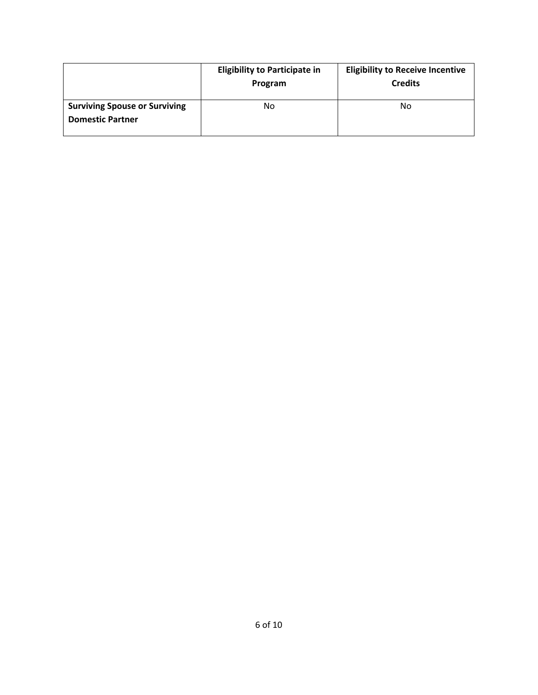|                                                                 | <b>Eligibility to Participate in</b><br>Program | <b>Eligibility to Receive Incentive</b><br><b>Credits</b> |
|-----------------------------------------------------------------|-------------------------------------------------|-----------------------------------------------------------|
| <b>Surviving Spouse or Surviving</b><br><b>Domestic Partner</b> | No                                              | No                                                        |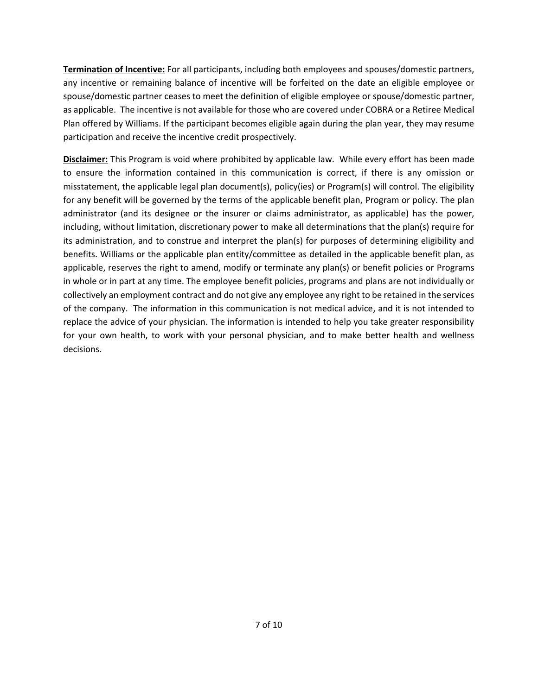**Termination of Incentive:** For all participants, including both employees and spouses/domestic partners, any incentive or remaining balance of incentive will be forfeited on the date an eligible employee or spouse/domestic partner ceases to meet the definition of eligible employee or spouse/domestic partner, as applicable. The incentive is not available for those who are covered under COBRA or a Retiree Medical Plan offered by Williams. If the participant becomes eligible again during the plan year, they may resume participation and receive the incentive credit prospectively.

**Disclaimer:** This Program is void where prohibited by applicable law. While every effort has been made to ensure the information contained in this communication is correct, if there is any omission or misstatement, the applicable legal plan document(s), policy(ies) or Program(s) will control. The eligibility for any benefit will be governed by the terms of the applicable benefit plan, Program or policy. The plan administrator (and its designee or the insurer or claims administrator, as applicable) has the power, including, without limitation, discretionary power to make all determinations that the plan(s) require for its administration, and to construe and interpret the plan(s) for purposes of determining eligibility and benefits. Williams or the applicable plan entity/committee as detailed in the applicable benefit plan, as applicable, reserves the right to amend, modify or terminate any plan(s) or benefit policies or Programs in whole or in part at any time. The employee benefit policies, programs and plans are not individually or collectively an employment contract and do not give any employee any right to be retained in the services of the company. The information in this communication is not medical advice, and it is not intended to replace the advice of your physician. The information is intended to help you take greater responsibility for your own health, to work with your personal physician, and to make better health and wellness decisions.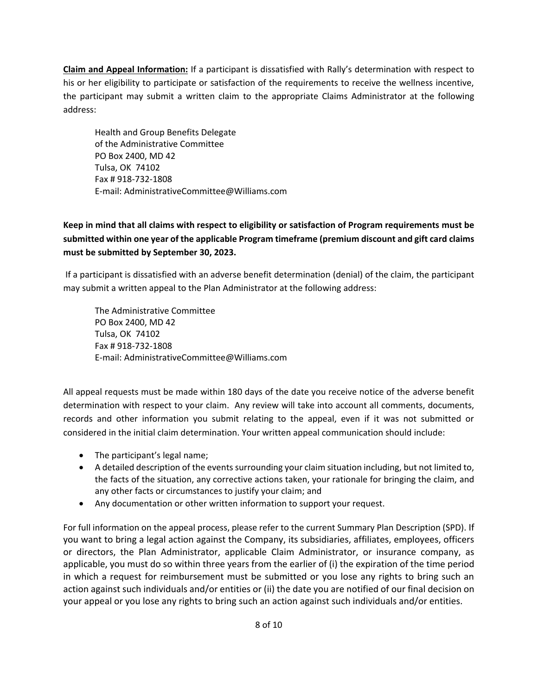**Claim and Appeal Information:** If a participant is dissatisfied with Rally's determination with respect to his or her eligibility to participate or satisfaction of the requirements to receive the wellness incentive, the participant may submit a written claim to the appropriate Claims Administrator at the following address:

Health and Group Benefits Delegate of the Administrative Committee PO Box 2400, MD 42 Tulsa, OK 74102 Fax # 918-732-1808 E-mail: AdministrativeCommittee@Williams.com

**Keep in mind that all claims with respect to eligibility or satisfaction of Program requirements must be submitted within one year of the applicable Program timeframe (premium discount and gift card claims must be submitted by September 30, 2023.**

If a participant is dissatisfied with an adverse benefit determination (denial) of the claim, the participant may submit a written appeal to the Plan Administrator at the following address:

The Administrative Committee PO Box 2400, MD 42 Tulsa, OK 74102 Fax # 918-732-1808 E-mail: AdministrativeCommittee@Williams.com

All appeal requests must be made within 180 days of the date you receive notice of the adverse benefit determination with respect to your claim. Any review will take into account all comments, documents, records and other information you submit relating to the appeal, even if it was not submitted or considered in the initial claim determination. Your written appeal communication should include:

- The participant's legal name;
- A detailed description of the events surrounding your claim situation including, but not limited to, the facts of the situation, any corrective actions taken, your rationale for bringing the claim, and any other facts or circumstances to justify your claim; and
- Any documentation or other written information to support your request.

For full information on the appeal process, please refer to the current Summary Plan Description (SPD). If you want to bring a legal action against the Company, its subsidiaries, affiliates, employees, officers or directors, the Plan Administrator, applicable Claim Administrator, or insurance company, as applicable, you must do so within three years from the earlier of (i) the expiration of the time period in which a request for reimbursement must be submitted or you lose any rights to bring such an action against such individuals and/or entities or (ii) the date you are notified of our final decision on your appeal or you lose any rights to bring such an action against such individuals and/or entities.